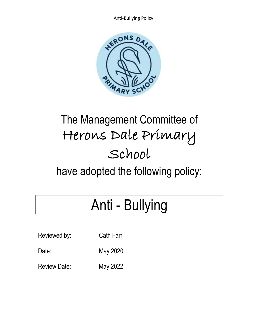

## The Management Committee of Herons Dale Primary School

have adopted the following policy:

# Anti - Bullying

| Reviewed by: | Cath Farr |
|--------------|-----------|
| Date:        | May 2020  |

Review Date: May 2022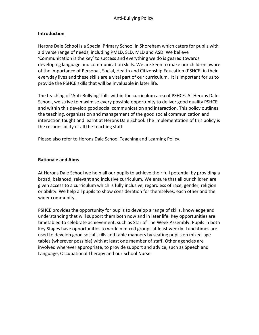#### **Introduction**

Herons Dale School is a Special Primary School in Shoreham which caters for pupils with a diverse range of needs, including PMLD, SLD, MLD and ASD. We believe 'Communication is the key' to success and everything we do is geared towards developing language and communication skills. We are keen to make our children aware of the importance of Personal, Social, Health and Citizenship Education (PSHCE) in their everyday lives and these skills are a vital part of our curriculum. It is important for us to provide the PSHCE skills that will be invaluable in later life.

The teaching of 'Anti-Bullying' falls within the curriculum area of PSHCE. At Herons Dale School, we strive to maximise every possible opportunity to deliver good quality PSHCE and within this develop good social communication and interaction. This policy outlines the teaching, organisation and management of the good social communication and interaction taught and learnt at Herons Dale School. The implementation of this policy is the responsibility of all the teaching staff.

Please also refer to Herons Dale School Teaching and Learning Policy.

#### **Rationale and Aims**

At Herons Dale School we help all our pupils to achieve their full potential by providing a broad, balanced, relevant and inclusive curriculum. We ensure that all our children are given access to a curriculum which is fully inclusive, regardless of race, gender, religion or ability. We help all pupils to show consideration for themselves, each other and the wider community.

PSHCE provides the opportunity for pupils to develop a range of skills, knowledge and understanding that will support them both now and in later life. Key opportunities are timetabled to celebrate achievement, such as Star of The Week Assembly. Pupils in both Key Stages have opportunities to work in mixed groups at least weekly. Lunchtimes are used to develop good social skills and table manners by seating pupils on mixed-age tables (wherever possible) with at least one member of staff. Other agencies are involved wherever appropriate, to provide support and advice, such as Speech and Language, Occupational Therapy and our School Nurse.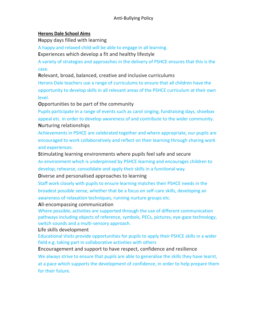#### **Herons Dale School Aims**

**H**appy days filled with learning

A happy and relaxed child will be able to engage in all learning.

**E**xperiences which develop a fit and healthy lifestyle

A variety of strategies and approaches in the delivery of PSHCE ensures that this is the case.

**R**elevant, broad, balanced, creative and inclusive curriculums

Herons Dale teachers use a range of curriculums to ensure that all children have the opportunity to develop skills in all relevant areas of the PSHCE curriculum at their own level.

**O**pportunities to be part of the community

Pupils participate in a range of events such as carol singing, fundraising days, shoebox appeal etc. in order to develop awareness of and contribute to the wider community. **N**urturing relationships

Achievements in PSHCE are celebrated together and where appropriate, our pupils are encouraged to work collaboratively and reflect on their learning through sharing work and experiences.

**S**timulating learning environments where pupils feel safe and secure An environment which is underpinned by PSHCE learning and encourages children to develop, rehearse, consolidate and apply their skills in a functional way.

**D**iverse and personalised approaches to learning

Staff work closely with pupils to ensure learning matches their PSHCE needs in the broadest possible sense, whether that be a focus on self-care skills, developing an awareness of relaxation techniques, running nurture groups etc.

**A**ll-encompassing communication

Where possible, activities are supported through the use of different communication pathways including objects of reference, symbols, PECs, pictures, eye-gaze technology, switch sounds and a multi-sensory approach.

**L**ife skills development

Educational Visits provide opportunities for pupils to apply their PSHCE skills in a wider field e.g. taking part in collaborative activities with others

**E**ncouragement and support to have respect, confidence and resilience We always strive to ensure that pupils are able to generalise the skills they have learnt, at a pace which supports the development of confidence, in order to help prepare them for their future.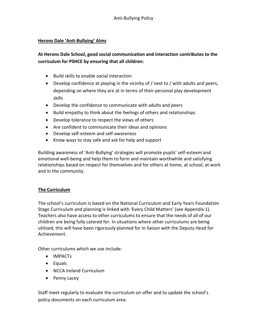#### **Herons Dale 'Anti-Bullying' Aims**

### **At Herons Dale School, good social communication and interaction contributes to the curriculum for PSHCE by ensuring that all children:**

- Build skills to enable social interaction
- Develop confidence at playing in the vicinity of / next to / with adults and peers, depending on where they are at in terms of their personal play development skills
- Develop the confidence to communicate with adults and peers
- Build empathy to think about the feelings of others and relationships
- Develop tolerance to respect the views of others
- Are confident to communicate their ideas and opinions
- Develop self-esteem and self-awareness
- Know ways to stay safe and ask for help and support

Building awareness of 'Anti-Bullying' strategies will promote pupils' self-esteem and emotional well-being and help them to form and maintain worthwhile and satisfying relationships based on respect for themselves and for others at home, at school, at work and in the community.

#### **The Curriculum**

The school's curriculum is based on the National Curriculum and Early Years Foundation Stage Curriculum and planning is linked with 'Every Child Matters' (see Appendix 1). Teachers also have access to other curriculums to ensure that the needs of all of our children are being fully catered for. In situations where other curriculums are being utilised, this will have been rigorously planned for in liaison with the Deputy Head for Achievement.

Other curriculums which we use include:

- IMPACTs
- Equals
- NCCA Ireland Curriculum
- Penny Lacey

Staff meet regularly to evaluate the curriculum on offer and to update the school's policy documents on each curriculum area.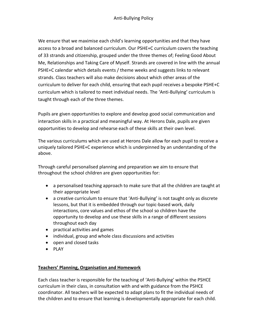We ensure that we maximise each child's learning opportunities and that they have access to a broad and balanced curriculum. Our PSHE+C curriculum covers the teaching of 33 strands and citizenship, grouped under the three themes of; Feeling Good About Me, Relationships and Taking Care of Myself. Strands are covered in line with the annual PSHE+C calendar which details events / theme weeks and suggests links to relevant strands. Class teachers will also make decisions about which other areas of the curriculum to deliver for each child, ensuring that each pupil receives a bespoke PSHE+C curriculum which is tailored to meet individual needs. The 'Anti-Bullying' curriculum is taught through each of the three themes.

Pupils are given opportunities to explore and develop good social communication and interaction skills in a practical and meaningful way. At Herons Dale, pupils are given opportunities to develop and rehearse each of these skills at their own level.

The various curriculums which are used at Herons Dale allow for each pupil to receive a uniquely tailored PSHE+C experience which is underpinned by an understanding of the above.

Through careful personalised planning and preparation we aim to ensure that throughout the school children are given opportunities for:

- a personalised teaching approach to make sure that all the children are taught at their appropriate level
- a creative curriculum to ensure that 'Anti-Bullying' is not taught only as discrete lessons, but that it is embedded through our topic-based work, daily interactions, core values and ethos of the school so children have the opportunity to develop and use these skills in a range of different sessions throughout each day
- practical activities and games
- individual, group and whole class discussions and activities
- open and closed tasks
- PLAY

#### **Teachers' Planning, Organisation and Homework**

Each class teacher is responsible for the teaching of 'Anti-Bullying' within the PSHCE curriculum in their class, in consultation with and with guidance from the PSHCE coordinator. All teachers will be expected to adapt plans to fit the individual needs of the children and to ensure that learning is developmentally appropriate for each child.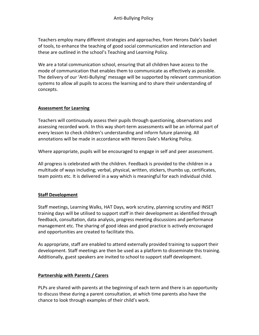Teachers employ many different strategies and approaches, from Herons Dale's basket of tools, to enhance the teaching of good social communication and interaction and these are outlined in the school's Teaching and Learning Policy.

We are a total communication school, ensuring that all children have access to the mode of communication that enables them to communicate as effectively as possible. The delivery of our 'Anti-Bullying' message will be supported by relevant communication systems to allow all pupils to access the learning and to share their understanding of concepts.

#### **Assessment for Learning**

Teachers will continuously assess their pupils through questioning, observations and assessing recorded work. In this way short-term assessments will be an informal part of every lesson to check children's understanding and inform future planning. All annotations will be made in accordance with Herons Dale's Marking Policy.

Where appropriate, pupils will be encouraged to engage in self and peer assessment.

All progress is celebrated with the children. Feedback is provided to the children in a multitude of ways including; verbal, physical, written, stickers, thumbs up, certificates, team points etc. It is delivered in a way which is meaningful for each individual child.

#### **Staff Development**

Staff meetings, Learning Walks, HAT Days, work scrutiny, planning scrutiny and INSET training days will be utilised to support staff in their development as identified through feedback, consultation, data analysis, progress meeting discussions and performance management etc. The sharing of good ideas and good practice is actively encouraged and opportunities are created to facilitate this.

As appropriate, staff are enabled to attend externally provided training to support their development. Staff meetings are then be used as a platform to disseminate this training. Additionally, guest speakers are invited to school to support staff development.

#### **Partnership with Parents / Carers**

PLPs are shared with parents at the beginning of each term and there is an opportunity to discuss these during a parent consultation, at which time parents also have the chance to look through examples of their child's work.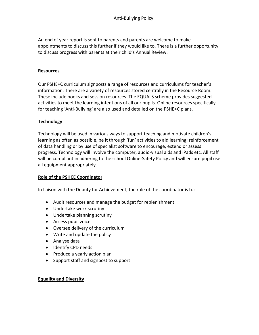An end of year report is sent to parents and parents are welcome to make appointments to discuss this further if they would like to. There is a further opportunity to discuss progress with parents at their child's Annual Review.

#### **Resources**

Our PSHE+C curriculum signposts a range of resources and curriculums for teacher's information. There are a variety of resources stored centrally in the Resource Room. These include books and session resources. The EQUALS scheme provides suggested activities to meet the learning intentions of all our pupils. Online resources specifically for teaching 'Anti-Bullying' are also used and detailed on the PSHE+C plans.

#### **Technology**

Technology will be used in various ways to support teaching and motivate children's learning as often as possible, be it through 'fun' activities to aid learning; reinforcement of data handling or by use of specialist software to encourage, extend or assess progress. Technology will involve the computer, audio-visual aids and iPads etc. All staff will be compliant in adhering to the school Online-Safety Policy and will ensure pupil use all equipment appropriately.

#### **Role of the PSHCE Coordinator**

In liaison with the Deputy for Achievement, the role of the coordinator is to:

- Audit resources and manage the budget for replenishment
- Undertake work scrutiny
- Undertake planning scrutiny
- Access pupil voice
- Oversee delivery of the curriculum
- Write and update the policy
- Analyse data
- Identify CPD needs
- Produce a yearly action plan
- Support staff and signpost to support

#### **Equality and Diversity**